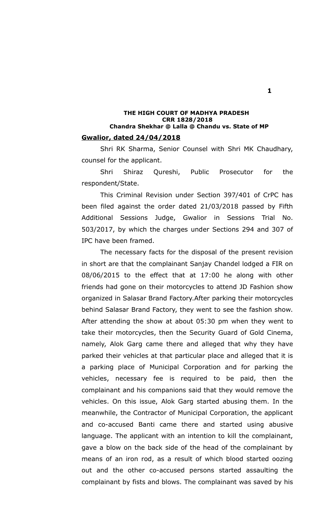### **THE HIGH COURT OF MADHYA PRADESH CRR 1828/2018 Chandra Shekhar @ Lalla @ Chandu vs. State of MP Gwalior, dated 24/04/2018**

Shri RK Sharma, Senior Counsel with Shri MK Chaudhary, counsel for the applicant.

Shri Shiraz Qureshi, Public Prosecutor for the respondent/State.

This Criminal Revision under Section 397/401 of CrPC has been filed against the order dated 21/03/2018 passed by Fifth Additional Sessions Judge, Gwalior in Sessions Trial No. 503/2017, by which the charges under Sections 294 and 307 of IPC have been framed.

The necessary facts for the disposal of the present revision in short are that the complainant Sanjay Chandel lodged a FIR on 08/06/2015 to the effect that at 17:00 he along with other friends had gone on their motorcycles to attend JD Fashion show organized in Salasar Brand Factory.After parking their motorcycles behind Salasar Brand Factory, they went to see the fashion show. After attending the show at about 05:30 pm when they went to take their motorcycles, then the Security Guard of Gold Cinema, namely, Alok Garg came there and alleged that why they have parked their vehicles at that particular place and alleged that it is a parking place of Municipal Corporation and for parking the vehicles, necessary fee is required to be paid, then the complainant and his companions said that they would remove the vehicles. On this issue, Alok Garg started abusing them. In the meanwhile, the Contractor of Municipal Corporation, the applicant and co-accused Banti came there and started using abusive language. The applicant with an intention to kill the complainant, gave a blow on the back side of the head of the complainant by means of an iron rod, as a result of which blood started oozing out and the other co-accused persons started assaulting the complainant by fists and blows. The complainant was saved by his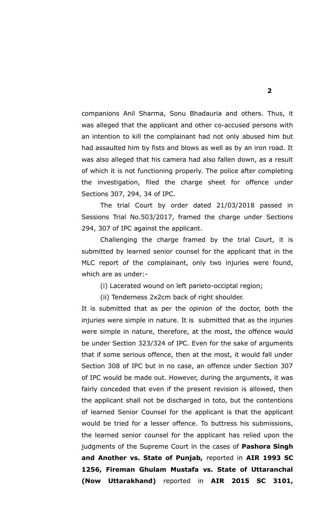companions Anil Sharma, Sonu Bhadauria and others. Thus, it was alleged that the applicant and other co-accused persons with an intention to kill the complainant had not only abused him but had assaulted him by fists and blows as well as by an iron road. It was also alleged that his camera had also fallen down, as a result of which it is not functioning properly. The police after completing the investigation, filed the charge sheet for offence under Sections 307, 294, 34 of IPC.

The trial Court by order dated 21/03/2018 passed in Sessions Trial No.503/2017, framed the charge under Sections 294, 307 of IPC against the applicant.

Challenging the charge framed by the trial Court, it is submitted by learned senior counsel for the applicant that in the MLC report of the complainant, only two injuries were found, which are as under:-

(i) Lacerated wound on left parieto-occiptal region;

(ii) Tenderness 2x2cm back of right shoulder.

It is submitted that as per the opinion of the doctor, both the injuries were simple in nature. It is submitted that as the injuries were simple in nature, therefore, at the most, the offence would be under Section 323/324 of IPC. Even for the sake of arguments that if some serious offence, then at the most, it would fall under Section 308 of IPC but in no case, an offence under Section 307 of IPC would be made out. However, during the arguments, it was fairly conceded that even if the present revision is allowed, then the applicant shall not be discharged in toto, but the contentions of learned Senior Counsel for the applicant is that the applicant would be tried for a lesser offence. To buttress his submissions, the learned senior counsel for the applicant has relied upon the judgments of the Supreme Court in the cases of **Pashora Singh and Another vs. State of Punjab,** reported in **AIR 1993 SC 1256, Fireman Ghulam Mustafa vs. State of Uttaranchal (Now Uttarakhand)** reported in **AIR 2015 SC 3101,**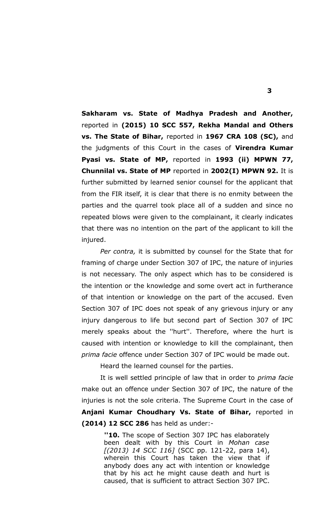**Sakharam vs. State of Madhya Pradesh and Another,** reported in **(2015) 10 SCC 557, Rekha Mandal and Others vs. The State of Bihar,** reported in **1967 CRA 108 (SC),** and the judgments of this Court in the cases of **Virendra Kumar Pyasi vs. State of MP,** reported in **1993 (ii) MPWN 77, Chunnilal vs. State of MP** reported in **2002(I) MPWN 92.** It is further submitted by learned senior counsel for the applicant that from the FIR itself, it is clear that there is no enmity between the parties and the quarrel took place all of a sudden and since no repeated blows were given to the complainant, it clearly indicates that there was no intention on the part of the applicant to kill the injured.

*Per contra,* it is submitted by counsel for the State that for framing of charge under Section 307 of IPC, the nature of injuries is not necessary. The only aspect which has to be considered is the intention or the knowledge and some overt act in furtherance of that intention or knowledge on the part of the accused. Even Section 307 of IPC does not speak of any grievous injury or any injury dangerous to life but second part of Section 307 of IPC merely speaks about the ''hurt''. Therefore, where the hurt is caused with intention or knowledge to kill the complainant, then *prima facie* offence under Section 307 of IPC would be made out.

Heard the learned counsel for the parties.

It is well settled principle of law that in order to *prima facie* make out an offence under Section 307 of IPC, the nature of the injuries is not the sole criteria. The Supreme Court in the case of **Anjani Kumar Choudhary Vs. State of Bihar,** reported in **(2014) 12 SCC 286** has held as under:-

> **''10.** The scope of Section 307 IPC has elaborately been dealt with by this Court in *Mohan case [(2013) 14 SCC 116]* (SCC pp. 121-22, para 14), wherein this Court has taken the view that if anybody does any act with intention or knowledge that by his act he might cause death and hurt is caused, that is sufficient to attract Section 307 IPC.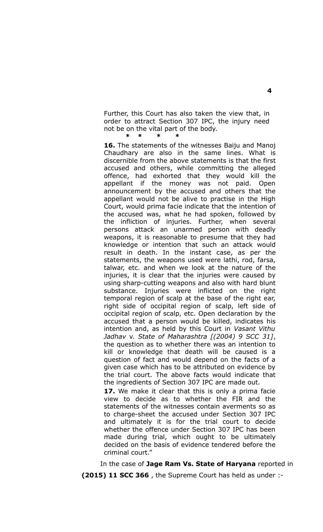Further, this Court has also taken the view that, in order to attract Section 307 IPC, the injury need not be on the vital part of the body.  **\* \* \* \***

**16.** The statements of the witnesses Baiju and Manoj Chaudhary are also in the same lines. What is discernible from the above statements is that the first accused and others, while committing the alleged offence, had exhorted that they would kill the appellant if the money was not paid. Open announcement by the accused and others that the appellant would not be alive to practise in the High Court, would prima facie indicate that the intention of the accused was, what he had spoken, followed by the infliction of injuries. Further, when several persons attack an unarmed person with deadly weapons, it is reasonable to presume that they had knowledge or intention that such an attack would result in death. In the instant case, as per the statements, the weapons used were lathi, rod, farsa, talwar, etc. and when we look at the nature of the injuries, it is clear that the injuries were caused by using sharp-cutting weapons and also with hard blunt substance. Injuries were inflicted on the right temporal region of scalp at the base of the right ear, right side of occipital region of scalp, left side of occipital region of scalp, etc. Open declaration by the accused that a person would be killed, indicates his intention and, as held by this Court in *Vasant Vithu Jadhav* v. *State of Maharashtra [(2004) 9 SCC 31]*, the question as to whether there was an intention to kill or knowledge that death will be caused is a question of fact and would depend on the facts of a given case which has to be attributed on evidence by the trial court. The above facts would indicate that the ingredients of Section 307 IPC are made out.

**17.** We make it clear that this is only a prima facie view to decide as to whether the FIR and the statements of the witnesses contain averments so as to charge-sheet the accused under Section 307 IPC and ultimately it is for the trial court to decide whether the offence under Section 307 IPC has been made during trial, which ought to be ultimately decided on the basis of evidence tendered before the criminal court."

In the case of **Jage Ram Vs. State of Haryana** reported in

**(2015) 11 SCC 366** , the Supreme Court has held as under :-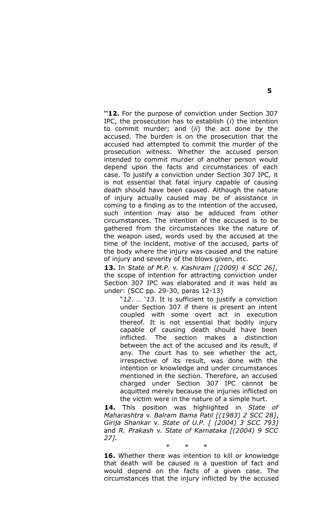**''12.** For the purpose of conviction under Section 307 IPC, the prosecution has to establish (*i*) the intention to commit murder; and (*ii*) the act done by the accused. The burden is on the prosecution that the accused had attempted to commit the murder of the prosecution witness. Whether the accused person intended to commit murder of another person would depend upon the facts and circumstances of each case. To justify a conviction under Section 307 IPC, it is not essential that fatal injury capable of causing death should have been caused. Although the nature of injury actually caused may be of assistance in coming to a finding as to the intention of the accused, such intention may also be adduced from other circumstances. The intention of the accused is to be gathered from the circumstances like the nature of the weapon used, words used by the accused at the time of the incident, motive of the accused, parts of the body where the injury was caused and the nature of injury and severity of the blows given, etc.

**13.** In *State of M.P.* v. *Kashiram [(2009) 4 SCC 26]*, the scope of intention for attracting conviction under Section 307 IPC was elaborated and it was held as under: (SCC pp. 29-30, paras 12-13)

"*12*. … '*13*. It is sufficient to justify a conviction under Section 307 if there is present an intent coupled with some overt act in execution thereof. It is not essential that bodily injury capable of causing death should have been inflicted. The section makes a distinction between the act of the accused and its result, if any. The court has to see whether the act, irrespective of its result, was done with the intention or knowledge and under circumstances mentioned in the section. Therefore, an accused charged under Section 307 IPC cannot be acquitted merely because the injuries inflicted on the victim were in the nature of a simple hurt.

**14.** This position was highlighted in *State of Maharashtra* v. *Balram Bama Patil [(1983) 2 SCC 28]*, *Girija Shankar* v. *State of U.P. [ (2004) 3 SCC 793]* and *R. Prakash* v. *State of Karnataka [(2004) 9 SCC 27]*.

**16.** Whether there was intention to kill or knowledge that death will be caused is a question of fact and would depend on the facts of a given case. The circumstances that the injury inflicted by the accused

\* \* \*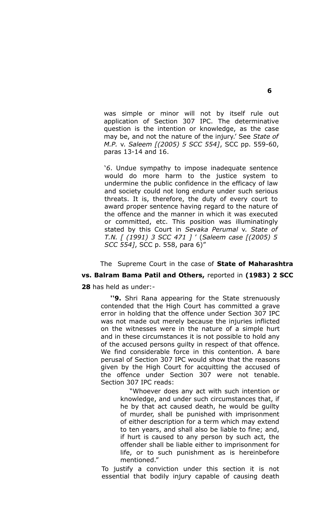was simple or minor will not by itself rule out application of Section 307 IPC. The determinative question is the intention or knowledge, as the case may be, and not the nature of the injury.' See *State of M.P.* v. *Saleem [(2005) 5 SCC 554]*, SCC pp. 559-60, paras 13-14 and 16.

'*6*. Undue sympathy to impose inadequate sentence would do more harm to the justice system to undermine the public confidence in the efficacy of law and society could not long endure under such serious threats. It is, therefore, the duty of every court to award proper sentence having regard to the nature of the offence and the manner in which it was executed or committed, etc. This position was illuminatingly stated by this Court in *Sevaka Perumal* v. *State of T.N. [ (1991) 3 SCC 471 ]* ' (*Saleem case [(2005) 5 SCC 554]*, SCC p. 558, para 6)"

# The Supreme Court in the case of **State of Maharashtra**

# **vs. Balram Bama Patil and Others,** reported in **(1983) 2 SCC**

**28** has held as under:-

**''9.** Shri Rana appearing for the State strenuously contended that the High Court has committed a grave error in holding that the offence under Section 307 IPC was not made out merely because the injuries inflicted on the witnesses were in the nature of a simple hurt and in these circumstances it is not possible to hold any of the accused persons guilty in respect of that offence. We find considerable force in this contention. A bare perusal of Section 307 IPC would show that the reasons given by the High Court for acquitting the accused of the offence under Section 307 were not tenable. Section 307 IPC reads:

> "Whoever does any act with such intention or knowledge, and under such circumstances that, if he by that act caused death, he would be guilty of murder, shall be punished with imprisonment of either description for a term which may extend to ten years, and shall also be liable to fine; and, if hurt is caused to any person by such act, the offender shall be liable either to imprisonment for life, or to such punishment as is hereinbefore mentioned."

To justify a conviction under this section it is not essential that bodily injury capable of causing death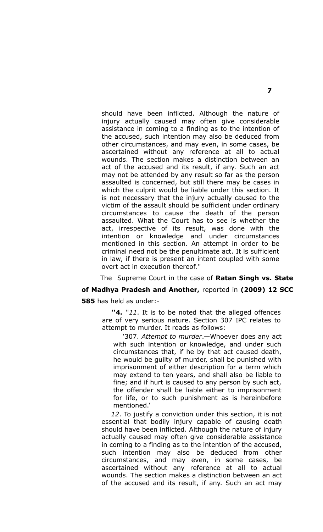should have been inflicted. Although the nature of injury actually caused may often give considerable assistance in coming to a finding as to the intention of the accused, such intention may also be deduced from other circumstances, and may even, in some cases, be ascertained without any reference at all to actual wounds. The section makes a distinction between an act of the accused and its result, if any. Such an act may not be attended by any result so far as the person assaulted is concerned, but still there may be cases in which the culprit would be liable under this section. It is not necessary that the injury actually caused to the victim of the assault should be sufficient under ordinary circumstances to cause the death of the person assaulted. What the Court has to see is whether the act, irrespective of its result, was done with the intention or knowledge and under circumstances mentioned in this section. An attempt in order to be criminal need not be the penultimate act. It is sufficient in law, if there is present an intent coupled with some overt act in execution thereof.''

The Supreme Court in the case of **Ratan Singh vs. State of Madhya Pradesh and Another,** reported in **(2009) 12 SCC 585** has held as under:-

**''4.** ''*11*. It is to be noted that the alleged offences are of very serious nature. Section 307 IPC relates to attempt to murder. It reads as follows:

'307. *Attempt to murder*.—Whoever does any act with such intention or knowledge, and under such circumstances that, if he by that act caused death, he would be guilty of murder, shall be punished with imprisonment of either description for a term which may extend to ten years, and shall also be liable to fine; and if hurt is caused to any person by such act, the offender shall be liable either to imprisonment for life, or to such punishment as is hereinbefore mentioned.'

*12*. To justify a conviction under this section, it is not essential that bodily injury capable of causing death should have been inflicted. Although the nature of injury actually caused may often give considerable assistance in coming to a finding as to the intention of the accused, such intention may also be deduced from other circumstances, and may even, in some cases, be ascertained without any reference at all to actual wounds. The section makes a distinction between an act of the accused and its result, if any. Such an act may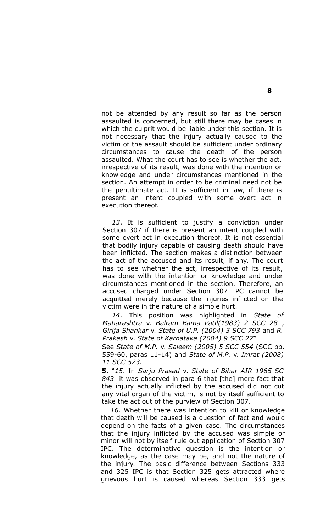not be attended by any result so far as the person assaulted is concerned, but still there may be cases in which the culprit would be liable under this section. It is not necessary that the injury actually caused to the victim of the assault should be sufficient under ordinary circumstances to cause the death of the person assaulted. What the court has to see is whether the act, irrespective of its result, was done with the intention or knowledge and under circumstances mentioned in the section. An attempt in order to be criminal need not be the penultimate act. It is sufficient in law, if there is present an intent coupled with some overt act in execution thereof.

*13*. It is sufficient to justify a conviction under Section 307 if there is present an intent coupled with some overt act in execution thereof. It is not essential that bodily injury capable of causing death should have been inflicted. The section makes a distinction between the act of the accused and its result, if any. The court has to see whether the act, irrespective of its result, was done with the intention or knowledge and under circumstances mentioned in the section. Therefore, an accused charged under Section 307 IPC cannot be acquitted merely because the injuries inflicted on the victim were in the nature of a simple hurt.

*14*. This position was highlighted in *State of Maharashtra* v. *Balram Bama Patil(1983) 2 SCC 28* , *Girija Shankar* v. *State of U.P. (2004) 3 SCC 793* and *R. Prakash* v. *State of Karnataka (2004) 9 SCC 27*"

See *State of M.P.* v. *Saleem (2005) 5 SCC 554* (SCC pp. 559-60, paras 11-14) and *State of M.P.* v. *Imrat (2008) 11 SCC 523.*

**5.** "*15*. In *Sarju Prasad* v. *State of Bihar AIR 1965 SC 843* it was observed in para 6 that [the] mere fact that the injury actually inflicted by the accused did not cut any vital organ of the victim, is not by itself sufficient to take the act out of the purview of Section 307.

*16*. Whether there was intention to kill or knowledge that death will be caused is a question of fact and would depend on the facts of a given case. The circumstances that the injury inflicted by the accused was simple or minor will not by itself rule out application of Section 307 IPC. The determinative question is the intention or knowledge, as the case may be, and not the nature of the injury. The basic difference between Sections 333 and 325 IPC is that Section 325 gets attracted where grievous hurt is caused whereas Section 333 gets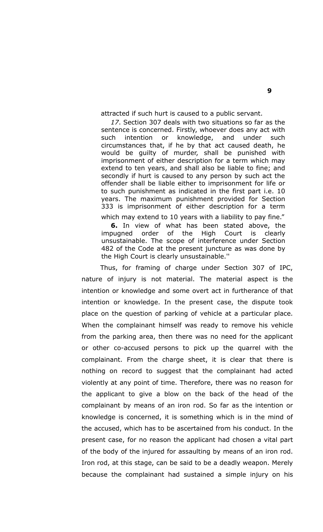attracted if such hurt is caused to a public servant.

*17*. Section 307 deals with two situations so far as the sentence is concerned. Firstly, whoever does any act with such intention or knowledge, and under such circumstances that, if he by that act caused death, he would be guilty of murder, shall be punished with imprisonment of either description for a term which may extend to ten years, and shall also be liable to fine; and secondly if hurt is caused to any person by such act the offender shall be liable either to imprisonment for life or to such punishment as indicated in the first part i.e. 10 years. The maximum punishment provided for Section 333 is imprisonment of either description for a term

which may extend to 10 years with a liability to pay fine."

**6.** In view of what has been stated above, the impugned order of the High Court is clearly unsustainable. The scope of interference under Section 482 of the Code at the present juncture as was done by the High Court is clearly unsustainable.''

Thus, for framing of charge under Section 307 of IPC, nature of injury is not material. The material aspect is the intention or knowledge and some overt act in furtherance of that intention or knowledge. In the present case, the dispute took place on the question of parking of vehicle at a particular place. When the complainant himself was ready to remove his vehicle from the parking area, then there was no need for the applicant or other co-accused persons to pick up the quarrel with the complainant. From the charge sheet, it is clear that there is nothing on record to suggest that the complainant had acted violently at any point of time. Therefore, there was no reason for the applicant to give a blow on the back of the head of the complainant by means of an iron rod. So far as the intention or knowledge is concerned, it is something which is in the mind of the accused, which has to be ascertained from his conduct. In the present case, for no reason the applicant had chosen a vital part of the body of the injured for assaulting by means of an iron rod. Iron rod, at this stage, can be said to be a deadly weapon. Merely because the complainant had sustained a simple injury on his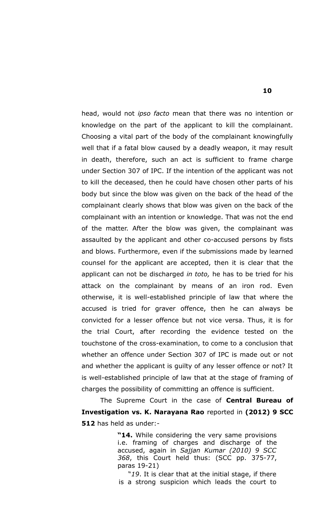head, would not *ipso facto* mean that there was no intention or knowledge on the part of the applicant to kill the complainant. Choosing a vital part of the body of the complainant knowingfully well that if a fatal blow caused by a deadly weapon, it may result in death, therefore, such an act is sufficient to frame charge under Section 307 of IPC. If the intention of the applicant was not to kill the deceased, then he could have chosen other parts of his body but since the blow was given on the back of the head of the complainant clearly shows that blow was given on the back of the complainant with an intention or knowledge. That was not the end of the matter. After the blow was given, the complainant was assaulted by the applicant and other co-accused persons by fists and blows. Furthermore, even if the submissions made by learned counsel for the applicant are accepted, then it is clear that the applicant can not be discharged *in toto,* he has to be tried for his attack on the complainant by means of an iron rod. Even otherwise, it is well-established principle of law that where the accused is tried for graver offence, then he can always be convicted for a lesser offence but not vice versa. Thus, it is for the trial Court, after recording the evidence tested on the touchstone of the cross-examination, to come to a conclusion that whether an offence under Section 307 of IPC is made out or not and whether the applicant is guilty of any lesser offence or not? It is well-established principle of law that at the stage of framing of charges the possibility of committing an offence is sufficient.

The Supreme Court in the case of **Central Bureau of Investigation vs. K. Narayana Rao** reported in **(2012) 9 SCC 512** has held as under:-

> **"14.** While considering the very same provisions i.e. framing of charges and discharge of the accused, again in *Sajjan Kumar (2010) 9 SCC 368*, this Court held thus: (SCC pp. 375-77, paras 19-21)

> "*19*. It is clear that at the initial stage, if there is a strong suspicion which leads the court to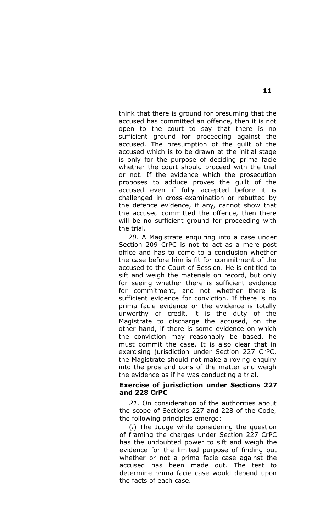think that there is ground for presuming that the accused has committed an offence, then it is not open to the court to say that there is no sufficient ground for proceeding against the accused. The presumption of the guilt of the accused which is to be drawn at the initial stage is only for the purpose of deciding prima facie whether the court should proceed with the trial or not. If the evidence which the prosecution proposes to adduce proves the guilt of the accused even if fully accepted before it is challenged in cross-examination or rebutted by the defence evidence, if any, cannot show that the accused committed the offence, then there will be no sufficient ground for proceeding with the trial.

*20*. A Magistrate enquiring into a case under Section 209 CrPC is not to act as a mere post office and has to come to a conclusion whether the case before him is fit for commitment of the accused to the Court of Session. He is entitled to sift and weigh the materials on record, but only for seeing whether there is sufficient evidence for commitment, and not whether there is sufficient evidence for conviction. If there is no prima facie evidence or the evidence is totally unworthy of credit, it is the duty of the Magistrate to discharge the accused, on the other hand, if there is some evidence on which the conviction may reasonably be based, he must commit the case. It is also clear that in exercising jurisdiction under Section 227 CrPC, the Magistrate should not make a roving enquiry into the pros and cons of the matter and weigh the evidence as if he was conducting a trial.

#### **Exercise of jurisdiction under Sections 227 and 228 CrPC**

*21*. On consideration of the authorities about the scope of Sections 227 and 228 of the Code, the following principles emerge:

(*i*) The Judge while considering the question of framing the charges under Section 227 CrPC has the undoubted power to sift and weigh the evidence for the limited purpose of finding out whether or not a prima facie case against the accused has been made out. The test to determine prima facie case would depend upon the facts of each case.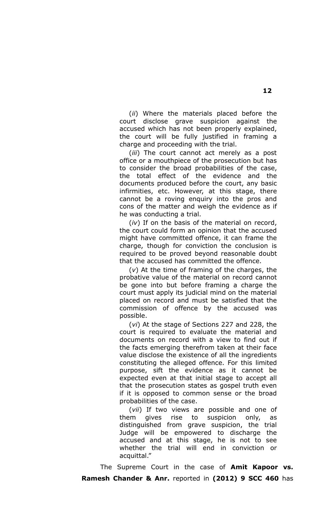(*ii*) Where the materials placed before the court disclose grave suspicion against the accused which has not been properly explained, the court will be fully justified in framing a charge and proceeding with the trial.

(*iii*) The court cannot act merely as a post office or a mouthpiece of the prosecution but has to consider the broad probabilities of the case, the total effect of the evidence and the documents produced before the court, any basic infirmities, etc. However, at this stage, there cannot be a roving enquiry into the pros and cons of the matter and weigh the evidence as if he was conducting a trial.

(*iv*) If on the basis of the material on record, the court could form an opinion that the accused might have committed offence, it can frame the charge, though for conviction the conclusion is required to be proved beyond reasonable doubt that the accused has committed the offence.

(*v*) At the time of framing of the charges, the probative value of the material on record cannot be gone into but before framing a charge the court must apply its judicial mind on the material placed on record and must be satisfied that the commission of offence by the accused was possible.

(*vi*) At the stage of Sections 227 and 228, the court is required to evaluate the material and documents on record with a view to find out if the facts emerging therefrom taken at their face value disclose the existence of all the ingredients constituting the alleged offence. For this limited purpose, sift the evidence as it cannot be expected even at that initial stage to accept all that the prosecution states as gospel truth even if it is opposed to common sense or the broad probabilities of the case.

(*vii*) If two views are possible and one of them gives rise to suspicion only, as distinguished from grave suspicion, the trial Judge will be empowered to discharge the accused and at this stage, he is not to see whether the trial will end in conviction or acquittal."

The Supreme Court in the case of **Amit Kapoor vs. Ramesh Chander & Anr.** reported in **(2012) 9 SCC 460** has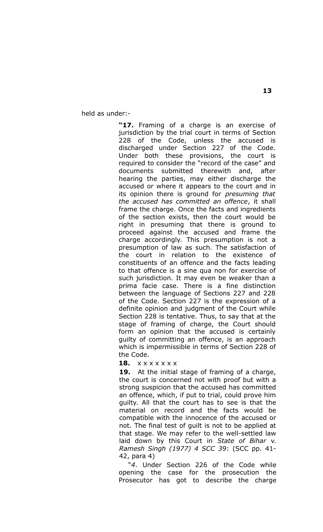held as under:-

**"17.** Framing of a charge is an exercise of jurisdiction by the trial court in terms of Section 228 of the Code, unless the accused is discharged under Section 227 of the Code. Under both these provisions, the court is required to consider the "record of the case" and documents submitted therewith and, after hearing the parties, may either discharge the accused or where it appears to the court and in its opinion there is ground for *presuming that the accused has committed an offence*, it shall frame the charge. Once the facts and ingredients of the section exists, then the court would be right in presuming that there is ground to proceed against the accused and frame the charge accordingly. This presumption is not a presumption of law as such. The satisfaction of the court in relation to the existence of constituents of an offence and the facts leading to that offence is a sine qua non for exercise of such jurisdiction. It may even be weaker than a prima facie case. There is a fine distinction between the language of Sections 227 and 228 of the Code. Section 227 is the expression of a definite opinion and judgment of the Court while Section 228 is tentative. Thus, to say that at the stage of framing of charge, the Court should form an opinion that the accused is certainly guilty of committing an offence, is an approach which is impermissible in terms of Section 228 of the Code.

**18.** x x x x x x x

**19.** At the initial stage of framing of a charge, the court is concerned not with proof but with a strong suspicion that the accused has committed an offence, which, if put to trial, could prove him guilty. All that the court has to see is that the material on record and the facts would be compatible with the innocence of the accused or not. The final test of guilt is not to be applied at that stage. We may refer to the well-settled law laid down by this Court in *State of Bihar* v. *Ramesh Singh (1977) 4 SCC 39*: (SCC pp. 41- 42, para 4)

"*4*. Under Section 226 of the Code while opening the case for the prosecution the Prosecutor has got to describe the charge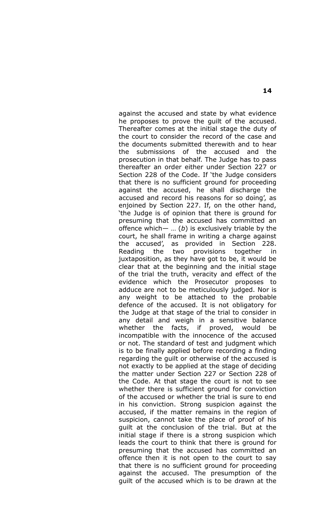against the accused and state by what evidence he proposes to prove the guilt of the accused. Thereafter comes at the initial stage the duty of the court to consider the record of the case and the documents submitted therewith and to hear the submissions of the accused and the prosecution in that behalf. The Judge has to pass thereafter an order either under Section 227 or Section 228 of the Code. If 'the Judge considers that there is no sufficient ground for proceeding against the accused, he shall discharge the accused and record his reasons for so doing', as enjoined by Section 227. If, on the other hand, 'the Judge is of opinion that there is ground for presuming that the accused has committed an offence which— … (*b*) is exclusively triable by the court, he shall frame in writing a charge against the accused', as provided in Section 228. Reading the two provisions together in juxtaposition, as they have got to be, it would be clear that at the beginning and the initial stage of the trial the truth, veracity and effect of the evidence which the Prosecutor proposes to adduce are not to be meticulously judged. Nor is any weight to be attached to the probable defence of the accused. It is not obligatory for the Judge at that stage of the trial to consider in any detail and weigh in a sensitive balance whether the facts, if proved, would be incompatible with the innocence of the accused or not. The standard of test and judgment which is to be finally applied before recording a finding regarding the guilt or otherwise of the accused is not exactly to be applied at the stage of deciding the matter under Section 227 or Section 228 of the Code. At that stage the court is not to see whether there is sufficient ground for conviction of the accused or whether the trial is sure to end in his conviction. Strong suspicion against the accused, if the matter remains in the region of suspicion, cannot take the place of proof of his guilt at the conclusion of the trial. But at the initial stage if there is a strong suspicion which leads the court to think that there is ground for presuming that the accused has committed an offence then it is not open to the court to say that there is no sufficient ground for proceeding against the accused. The presumption of the guilt of the accused which is to be drawn at the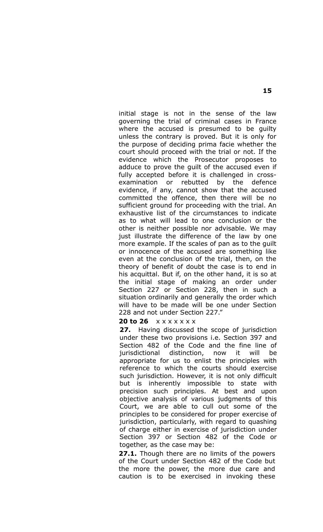initial stage is not in the sense of the law governing the trial of criminal cases in France where the accused is presumed to be guilty unless the contrary is proved. But it is only for the purpose of deciding prima facie whether the court should proceed with the trial or not. If the evidence which the Prosecutor proposes to adduce to prove the guilt of the accused even if fully accepted before it is challenged in crossexamination or rebutted by the defence evidence, if any, cannot show that the accused committed the offence, then there will be no sufficient ground for proceeding with the trial. An exhaustive list of the circumstances to indicate as to what will lead to one conclusion or the other is neither possible nor advisable. We may just illustrate the difference of the law by one more example. If the scales of pan as to the guilt or innocence of the accused are something like even at the conclusion of the trial, then, on the theory of benefit of doubt the case is to end in his acquittal. But if, on the other hand, it is so at the initial stage of making an order under Section 227 or Section 228, then in such a situation ordinarily and generally the order which will have to be made will be one under Section 228 and not under Section 227."

#### **20 to 26**  $x \times x \times x \times x$

**27.** Having discussed the scope of jurisdiction under these two provisions i.e. Section 397 and Section 482 of the Code and the fine line of jurisdictional distinction, now it will be appropriate for us to enlist the principles with reference to which the courts should exercise such jurisdiction. However, it is not only difficult but is inherently impossible to state with precision such principles. At best and upon objective analysis of various judgments of this Court, we are able to cull out some of the principles to be considered for proper exercise of jurisdiction, particularly, with regard to quashing of charge either in exercise of jurisdiction under Section 397 or Section 482 of the Code or together, as the case may be:

**27.1.** Though there are no limits of the powers of the Court under Section 482 of the Code but the more the power, the more due care and caution is to be exercised in invoking these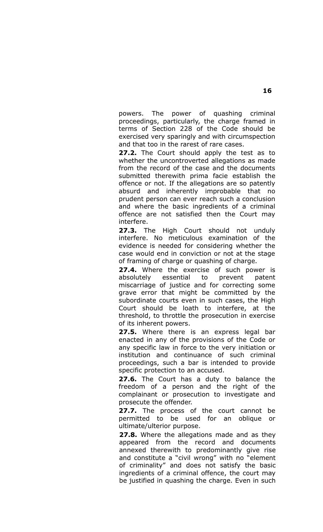powers. The power of quashing criminal proceedings, particularly, the charge framed in terms of Section 228 of the Code should be exercised very sparingly and with circumspection and that too in the rarest of rare cases.

**27.2.** The Court should apply the test as to whether the uncontroverted allegations as made from the record of the case and the documents submitted therewith prima facie establish the offence or not. If the allegations are so patently absurd and inherently improbable that no prudent person can ever reach such a conclusion and where the basic ingredients of a criminal offence are not satisfied then the Court may interfere.

**27.3.** The High Court should not unduly interfere. No meticulous examination of the evidence is needed for considering whether the case would end in conviction or not at the stage of framing of charge or quashing of charge.

**27.4.** Where the exercise of such power is absolutely essential to prevent patent miscarriage of justice and for correcting some grave error that might be committed by the subordinate courts even in such cases, the High Court should be loath to interfere, at the threshold, to throttle the prosecution in exercise of its inherent powers.

**27.5.** Where there is an express legal bar enacted in any of the provisions of the Code or any specific law in force to the very initiation or institution and continuance of such criminal proceedings, such a bar is intended to provide specific protection to an accused.

**27.6.** The Court has a duty to balance the freedom of a person and the right of the complainant or prosecution to investigate and prosecute the offender.

**27.7.** The process of the court cannot be permitted to be used for an oblique or ultimate/ulterior purpose.

**27.8.** Where the allegations made and as they appeared from the record and documents annexed therewith to predominantly give rise and constitute a "civil wrong" with no "element of criminality" and does not satisfy the basic ingredients of a criminal offence, the court may be justified in quashing the charge. Even in such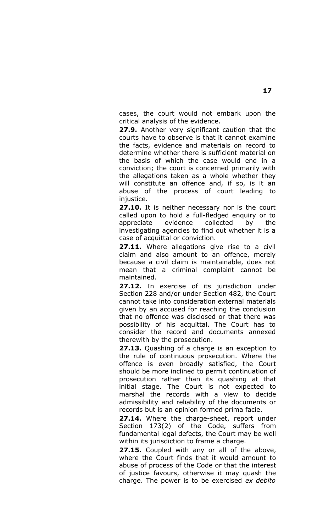cases, the court would not embark upon the critical analysis of the evidence.

**27.9.** Another very significant caution that the courts have to observe is that it cannot examine the facts, evidence and materials on record to determine whether there is sufficient material on the basis of which the case would end in a conviction; the court is concerned primarily with the allegations taken as a whole whether they will constitute an offence and, if so, is it an abuse of the process of court leading to injustice.

**27.10.** It is neither necessary nor is the court called upon to hold a full-fledged enquiry or to appreciate evidence collected by the investigating agencies to find out whether it is a case of acquittal or conviction.

**27.11.** Where allegations give rise to a civil claim and also amount to an offence, merely because a civil claim is maintainable, does not mean that a criminal complaint cannot be maintained.

**27.12.** In exercise of its jurisdiction under Section 228 and/or under Section 482, the Court cannot take into consideration external materials given by an accused for reaching the conclusion that no offence was disclosed or that there was possibility of his acquittal. The Court has to consider the record and documents annexed therewith by the prosecution.

**27.13.** Quashing of a charge is an exception to the rule of continuous prosecution. Where the offence is even broadly satisfied, the Court should be more inclined to permit continuation of prosecution rather than its quashing at that initial stage. The Court is not expected to marshal the records with a view to decide admissibility and reliability of the documents or records but is an opinion formed prima facie.

**27.14.** Where the charge-sheet, report under Section 173(2) of the Code, suffers from fundamental legal defects, the Court may be well within its jurisdiction to frame a charge.

**27.15.** Coupled with any or all of the above, where the Court finds that it would amount to abuse of process of the Code or that the interest of justice favours, otherwise it may quash the charge. The power is to be exercised *ex debito*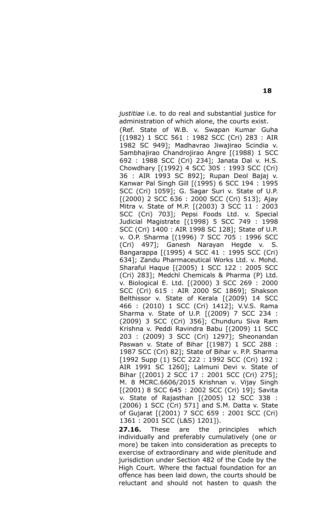*justitiae* i.e. to do real and substantial justice for administration of which alone, the courts exist. (Ref. State of W.B. v. Swapan Kumar Guha [(1982) 1 SCC 561 : 1982 SCC (Cri) 283 : AIR 1982 SC 949]; Madhavrao Jiwajirao Scindia v. Sambhajirao Chandrojirao Angre [(1988) 1 SCC 692 : 1988 SCC (Cri) 234]; Janata Dal v. H.S. Chowdhary [(1992) 4 SCC 305 : 1993 SCC (Cri) 36 : AIR 1993 SC 892]; Rupan Deol Bajaj v. Kanwar Pal Singh Gill [(1995) 6 SCC 194 : 1995 SCC (Cri) 1059]; G. Sagar Suri v. State of U.P. [(2000) 2 SCC 636 : 2000 SCC (Cri) 513]; Ajay Mitra v. State of M.P. [(2003) 3 SCC 11 : 2003 SCC (Cri) 703]; Pepsi Foods Ltd. v. Special Judicial Magistrate [(1998) 5 SCC 749 : 1998 SCC (Cri) 1400 : AIR 1998 SC 128]; State of U.P. v. O.P. Sharma [(1996) 7 SCC 705 : 1996 SCC (Cri) 497]; Ganesh Narayan Hegde v. S. Bangarappa [(1995) 4 SCC 41 : 1995 SCC (Cri) 634]; Zandu Pharmaceutical Works Ltd. v. Mohd. Sharaful Haque [(2005) 1 SCC 122 : 2005 SCC (Cri) 283]; Medchl Chemicals & Pharma (P) Ltd. v. Biological E. Ltd. [(2000) 3 SCC 269 : 2000 SCC (Cri) 615 : AIR 2000 SC 1869]; Shakson Belthissor v. State of Kerala [(2009) 14 SCC 466 : (2010) 1 SCC (Cri) 1412]; V.V.S. Rama Sharma v. State of U.P. [(2009) 7 SCC 234 : (2009) 3 SCC (Cri) 356]; Chunduru Siva Ram Krishna v. Peddi Ravindra Babu [(2009) 11 SCC 203 : (2009) 3 SCC (Cri) 1297]; Sheonandan Paswan v. State of Bihar [(1987) 1 SCC 288 : 1987 SCC (Cri) 82]; State of Bihar v. P.P. Sharma [1992 Supp (1) SCC 222 : 1992 SCC (Cri) 192 : AIR 1991 SC 1260]; Lalmuni Devi v. State of Bihar [(2001) 2 SCC 17 : 2001 SCC (Cri) 275]; M. 8 MCRC.6606/2015 Krishnan v. Vijay Singh [(2001) 8 SCC 645 : 2002 SCC (Cri) 19]; Savita v. State of Rajasthan [(2005) 12 SCC 338 : (2006) 1 SCC (Cri) 571] and S.M. Datta v. State of Gujarat [(2001) 7 SCC 659 : 2001 SCC (Cri) 1361 : 2001 SCC (L&S) 1201]).

**27.16.** These are the principles which individually and preferably cumulatively (one or more) be taken into consideration as precepts to exercise of extraordinary and wide plenitude and jurisdiction under Section 482 of the Code by the High Court. Where the factual foundation for an offence has been laid down, the courts should be reluctant and should not hasten to quash the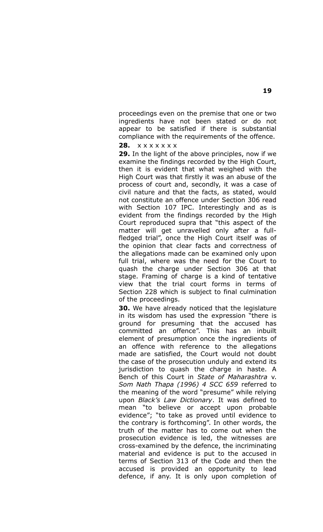proceedings even on the premise that one or two ingredients have not been stated or do not appear to be satisfied if there is substantial compliance with the requirements of the offence.

**28.** x x x x x x x

**29.** In the light of the above principles, now if we examine the findings recorded by the High Court, then it is evident that what weighed with the High Court was that firstly it was an abuse of the process of court and, secondly, it was a case of civil nature and that the facts, as stated, would not constitute an offence under Section 306 read with Section 107 IPC. Interestingly and as is evident from the findings recorded by the High Court reproduced supra that "this aspect of the matter will get unravelled only after a fullfledged trial", once the High Court itself was of the opinion that clear facts and correctness of the allegations made can be examined only upon full trial, where was the need for the Court to quash the charge under Section 306 at that stage. Framing of charge is a kind of tentative view that the trial court forms in terms of Section 228 which is subject to final culmination of the proceedings.

**30.** We have already noticed that the legislature in its wisdom has used the expression "there is ground for presuming that the accused has committed an offence". This has an inbuilt element of presumption once the ingredients of an offence with reference to the allegations made are satisfied, the Court would not doubt the case of the prosecution unduly and extend its jurisdiction to quash the charge in haste. A Bench of this Court in *State of Maharashtra* v. *Som Nath Thapa (1996) 4 SCC 659* referred to the meaning of the word "presume" while relying upon *Black's Law Dictionary*. It was defined to mean "to believe or accept upon probable evidence"; "to take as proved until evidence to the contrary is forthcoming". In other words, the truth of the matter has to come out when the prosecution evidence is led, the witnesses are cross-examined by the defence, the incriminating material and evidence is put to the accused in terms of Section 313 of the Code and then the accused is provided an opportunity to lead defence, if any. It is only upon completion of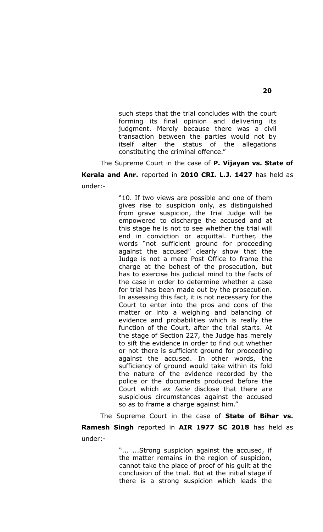such steps that the trial concludes with the court forming its final opinion and delivering its judgment. Merely because there was a civil transaction between the parties would not by itself alter the status of the allegations constituting the criminal offence."

The Supreme Court in the case of **P. Vijayan vs. State of Kerala and Anr.** reported in **2010 CRI. L.J. 1427** has held as under:-

> "10. If two views are possible and one of them gives rise to suspicion only, as distinguished from grave suspicion, the Trial Judge will be empowered to discharge the accused and at this stage he is not to see whether the trial will end in conviction or acquittal. Further, the words "not sufficient ground for proceeding against the accused" clearly show that the Judge is not a mere Post Office to frame the charge at the behest of the prosecution, but has to exercise his judicial mind to the facts of the case in order to determine whether a case for trial has been made out by the prosecution. In assessing this fact, it is not necessary for the Court to enter into the pros and cons of the matter or into a weighing and balancing of evidence and probabilities which is really the function of the Court, after the trial starts. At the stage of Section 227, the Judge has merely to sift the evidence in order to find out whether or not there is sufficient ground for proceeding against the accused. In other words, the sufficiency of ground would take within its fold the nature of the evidence recorded by the police or the documents produced before the Court which *ex facie* disclose that there are suspicious circumstances against the accused so as to frame a charge against him."

The Supreme Court in the case of **State of Bihar vs. Ramesh Singh** reported in **AIR 1977 SC 2018** has held as under:-

> "... ...Strong suspicion against the accused, if the matter remains in the region of suspicion, cannot take the place of proof of his guilt at the conclusion of the trial. But at the initial stage if there is a strong suspicion which leads the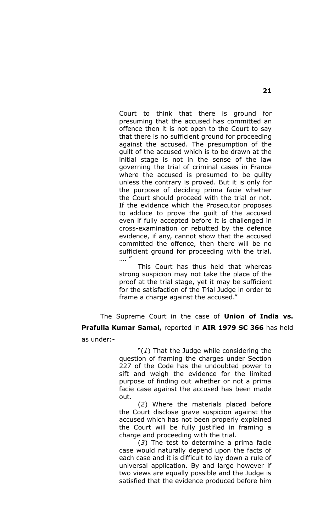Court to think that there is ground for presuming that the accused has committed an offence then it is not open to the Court to say that there is no sufficient ground for proceeding against the accused. The presumption of the guilt of the accused which is to be drawn at the initial stage is not in the sense of the law governing the trial of criminal cases in France where the accused is presumed to be guilty unless the contrary is proved. But it is only for the purpose of deciding prima facie whether the Court should proceed with the trial or not. If the evidence which the Prosecutor proposes to adduce to prove the guilt of the accused even if fully accepted before it is challenged in cross-examination or rebutted by the defence evidence, if any, cannot show that the accused committed the offence, then there will be no sufficient ground for proceeding with the trial. …. '

This Court has thus held that whereas strong suspicion may not take the place of the proof at the trial stage, yet it may be sufficient for the satisfaction of the Trial Judge in order to frame a charge against the accused."

The Supreme Court in the case of **Union of India vs. Prafulla Kumar Samal,** reported in **AIR 1979 SC 366** has held as under:-

> "(*1*) That the Judge while considering the question of framing the charges under Section 227 of the Code has the undoubted power to sift and weigh the evidence for the limited purpose of finding out whether or not a prima facie case against the accused has been made out.

> (*2*) Where the materials placed before the Court disclose grave suspicion against the accused which has not been properly explained the Court will be fully justified in framing a charge and proceeding with the trial.

> (*3*) The test to determine a prima facie case would naturally depend upon the facts of each case and it is difficult to lay down a rule of universal application. By and large however if two views are equally possible and the Judge is satisfied that the evidence produced before him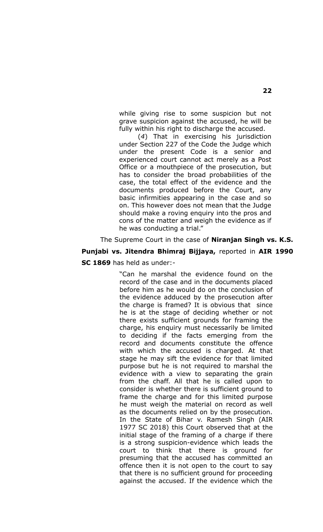while giving rise to some suspicion but not grave suspicion against the accused, he will be fully within his right to discharge the accused.

(*4*) That in exercising his jurisdiction under Section 227 of the Code the Judge which under the present Code is a senior and experienced court cannot act merely as a Post Office or a mouthpiece of the prosecution, but has to consider the broad probabilities of the case, the total effect of the evidence and the documents produced before the Court, any basic infirmities appearing in the case and so on. This however does not mean that the Judge should make a roving enquiry into the pros and cons of the matter and weigh the evidence as if he was conducting a trial."

The Supreme Court in the case of **Niranjan Singh vs. K.S. Punjabi vs. Jitendra Bhimraj Bijjaya,** reported in **AIR 1990 SC 1869** has held as under:-

> "Can he marshal the evidence found on the record of the case and in the documents placed before him as he would do on the conclusion of the evidence adduced by the prosecution after the charge is framed? It is obvious that since he is at the stage of deciding whether or not there exists sufficient grounds for framing the charge, his enquiry must necessarily be limited to deciding if the facts emerging from the record and documents constitute the offence with which the accused is charged. At that stage he may sift the evidence for that limited purpose but he is not required to marshal the evidence with a view to separating the grain from the chaff. All that he is called upon to consider is whether there is sufficient ground to frame the charge and for this limited purpose he must weigh the material on record as well as the documents relied on by the prosecution. In the State of Bihar v. Ramesh Singh (AIR 1977 SC 2018) this Court observed that at the initial stage of the framing of a charge if there is a strong suspicion-evidence which leads the court to think that there is ground for presuming that the accused has committed an offence then it is not open to the court to say that there is no sufficient ground for proceeding against the accused. If the evidence which the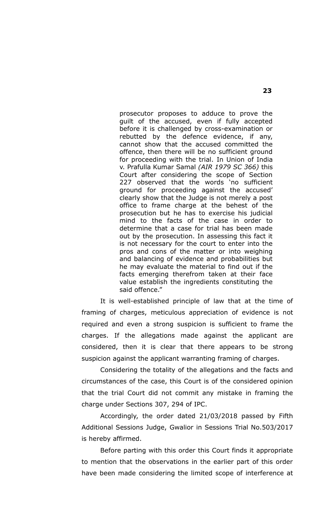prosecutor proposes to adduce to prove the guilt of the accused, even if fully accepted before it is challenged by cross-examination or rebutted by the defence evidence, if any, cannot show that the accused committed the offence, then there will be no sufficient ground for proceeding with the trial. In Union of India v. Prafulla Kumar Samal *(AIR 1979 SC 366)* this Court after considering the scope of Section 227 observed that the words 'no sufficient ground for proceeding against the accused' clearly show that the Judge is not merely a post office to frame charge at the behest of the prosecution but he has to exercise his judicial mind to the facts of the case in order to determine that a case for trial has been made out by the prosecution. In assessing this fact it is not necessary for the court to enter into the pros and cons of the matter or into weighing and balancing of evidence and probabilities but he may evaluate the material to find out if the facts emerging therefrom taken at their face value establish the ingredients constituting the said offence."

It is well-established principle of law that at the time of framing of charges, meticulous appreciation of evidence is not required and even a strong suspicion is sufficient to frame the charges. If the allegations made against the applicant are considered, then it is clear that there appears to be strong suspicion against the applicant warranting framing of charges.

Considering the totality of the allegations and the facts and circumstances of the case, this Court is of the considered opinion that the trial Court did not commit any mistake in framing the charge under Sections 307, 294 of IPC.

Accordingly, the order dated 21/03/2018 passed by Fifth Additional Sessions Judge, Gwalior in Sessions Trial No.503/2017 is hereby affirmed.

Before parting with this order this Court finds it appropriate to mention that the observations in the earlier part of this order have been made considering the limited scope of interference at